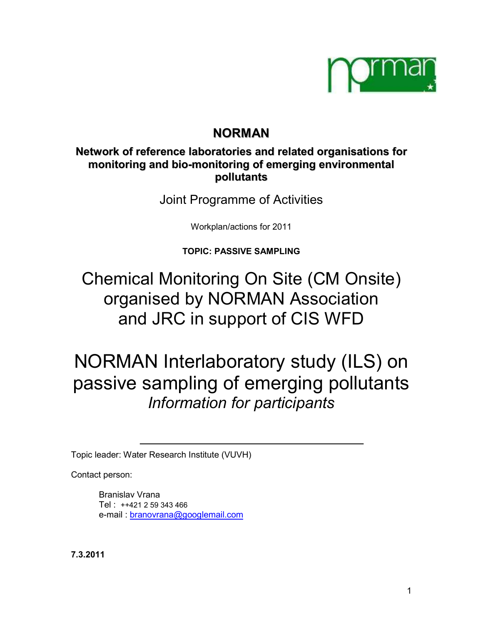

# **NORMAN**

# **Network of reference laboratories and related organisations for monitoring and bio-monitoring of emerging environmental pollutants**

Joint Programme of Activities

Workplan/actions for 2011

**TOPIC: PASSIVE SAMPLING** 

Chemical Monitoring On Site (CM Onsite) organised by NORMAN Association and JRC in support of CIS WFD

NORMAN Interlaboratory study (ILS) on passive sampling of emerging pollutants *Information for participants* 

Topic leader: Water Research Institute (VUVH)

Contact person:

Branislav Vrana Tel : ++421 2 59 343 466 e-mail : [branovrana@googlemail.com](mailto:branovrana@googlemail.com)

**7.3.2011**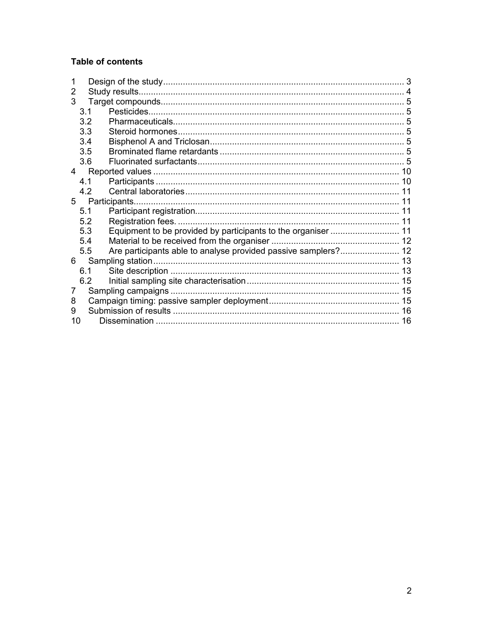### **Table of contents**

| 2  |     |                                                                |  |  |  |  |
|----|-----|----------------------------------------------------------------|--|--|--|--|
| 3  |     |                                                                |  |  |  |  |
|    | 3.1 |                                                                |  |  |  |  |
|    | 3.2 |                                                                |  |  |  |  |
|    | 3.3 |                                                                |  |  |  |  |
|    | 3.4 |                                                                |  |  |  |  |
|    | 3.5 |                                                                |  |  |  |  |
|    | 3.6 |                                                                |  |  |  |  |
| 4  |     |                                                                |  |  |  |  |
|    | 4.1 |                                                                |  |  |  |  |
|    | 4.2 |                                                                |  |  |  |  |
| 5  |     | Participants.                                                  |  |  |  |  |
|    | 5.1 |                                                                |  |  |  |  |
|    | 5.2 |                                                                |  |  |  |  |
|    | 5.3 |                                                                |  |  |  |  |
|    | 5.4 |                                                                |  |  |  |  |
|    | 5.5 | Are participants able to analyse provided passive samplers? 12 |  |  |  |  |
| 6  |     |                                                                |  |  |  |  |
|    | 6.1 |                                                                |  |  |  |  |
|    | 6.2 |                                                                |  |  |  |  |
| 7  |     |                                                                |  |  |  |  |
| 8  |     |                                                                |  |  |  |  |
| 9  |     |                                                                |  |  |  |  |
| 10 |     |                                                                |  |  |  |  |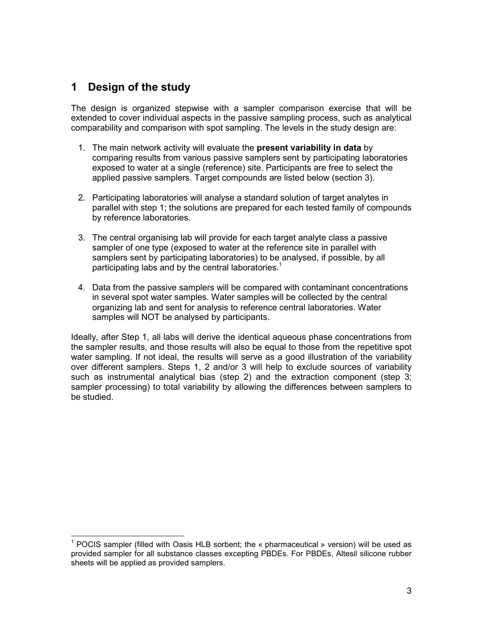# <span id="page-2-0"></span>**1 Design of the study**

The design is organized stepwise with a sampler comparison exercise that will be extended to cover individual aspects in the passive sampling process, such as analytical comparability and comparison with spot sampling. The levels in the study design are:

- 1. The main network activity will evaluate the **present variability in data** by comparing results from various passive samplers sent by participating laboratories exposed to water at a single (reference) site. Participants are free to select the applied passive samplers. Target compounds are listed below (section 3).
- 2. Participating laboratories will analyse a standard solution of target analytes in parallel with step 1; the solutions are prepared for each tested family of compounds by reference laboratories.
- 3. The central organising lab will provide for each target analyte class a passive sampler of one type (exposed to water at the reference site in parallel with samplers sent by participating laboratories) to be analysed, if possible, by all participating labs and by the central laboratories.<sup>1</sup>
- 4. Data from the passive samplers will be compared with contaminant concentrations in several spot water samples. Water samples will be collected by the central organizing lab and sent for analysis to reference central laboratories. Water samples will NOT be analysed by participants.

Ideally, after Step 1, all labs will derive the identical aqueous phase concentrations from the sampler results, and those results will also be equal to those from the repetitive spot water sampling. If not ideal, the results will serve as a good illustration of the variability over different samplers. Steps 1, 2 and/or 3 will help to exclude sources of variability such as instrumental analytical bias (step 2) and the extraction component (step 3; sampler processing) to total variability by allowing the differences between samplers to be studied.

 1 POCIS sampler (filled with Oasis HLB sorbent; the « pharmaceutical » version) will be used as provided sampler for all substance classes excepting PBDEs. For PBDEs, Altesil silicone rubber sheets will be applied as provided samplers.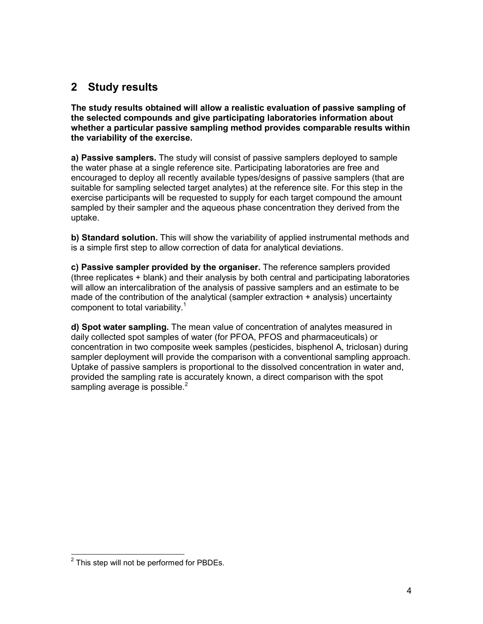# <span id="page-3-0"></span>**2 Study results**

**The study results obtained will allow a realistic evaluation of passive sampling of the selected compounds and give participating laboratories information about whether a particular passive sampling method provides comparable results within the variability of the exercise.** 

**a) Passive samplers.** The study will consist of passive samplers deployed to sample the water phase at a single reference site. Participating laboratories are free and encouraged to deploy all recently available types/designs of passive samplers (that are suitable for sampling selected target analytes) at the reference site. For this step in the exercise participants will be requested to supply for each target compound the amount sampled by their sampler and the aqueous phase concentration they derived from the uptake.

**b) Standard solution.** This will show the variability of applied instrumental methods and is a simple first step to allow correction of data for analytical deviations.

**c) Passive sampler provided by the organiser.** The reference samplers provided (three replicates + blank) and their analysis by both central and participating laboratories will allow an intercalibration of the analysis of passive samplers and an estimate to be made of the contribution of the analytical (sampler extraction + analysis) uncertainty component to total variability.<sup>1</sup>

**d) Spot water sampling.** The mean value of concentration of analytes measured in daily collected spot samples of water (for PFOA, PFOS and pharmaceuticals) or concentration in two composite week samples (pesticides, bisphenol A, triclosan) during sampler deployment will provide the comparison with a conventional sampling approach. Uptake of passive samplers is proportional to the dissolved concentration in water and, provided the sampling rate is accurately known, a direct comparison with the spot sampling average is possible.<sup>2</sup>

<sup>&</sup>lt;u>2</u><br><sup>2</sup> This step will not be performed for PBDEs.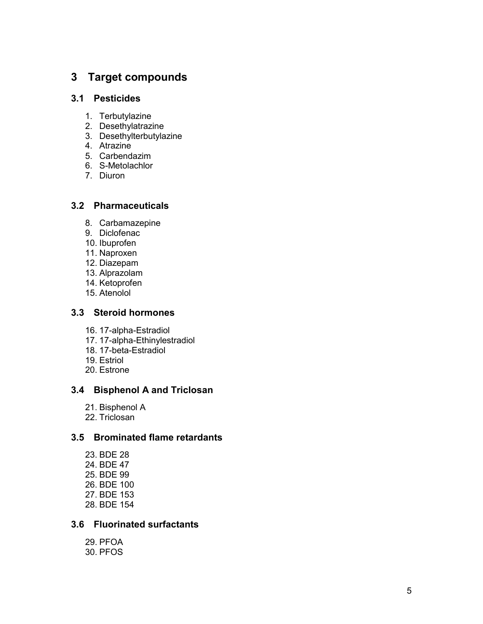### <span id="page-4-0"></span>**3 Target compounds**

#### **3.1 Pesticides**

- 1. Terbutylazine
- 2. Desethylatrazine
- 3. Desethylterbutylazine
- 4. Atrazine
- 5. Carbendazim
- 6. S-Metolachlor
- 7. Diuron

### **3.2 Pharmaceuticals**

- 8. Carbamazepine
- 9. Diclofenac
- 10. Ibuprofen
- 11. Naproxen
- 12. Diazepam
- 13. Alprazolam
- 14. Ketoprofen
- 15. Atenolol

### **3.3 Steroid hormones**

- 16. 17-alpha-Estradiol
- 17. 17-alpha-Ethinylestradiol
- 18. 17-beta-Estradiol
- 19. Estriol
- 20. Estrone

#### **3.4 Bisphenol A and Triclosan**

- 21. Bisphenol A
- 22. Triclosan

### **3.5 Brominated flame retardants**

23. BDE 28 24. BDE 47 25. BDE 99 26. BDE 100 27. BDE 153 28. BDE 154

#### **3.6 Fluorinated surfactants**

29. PFOA 30. PFOS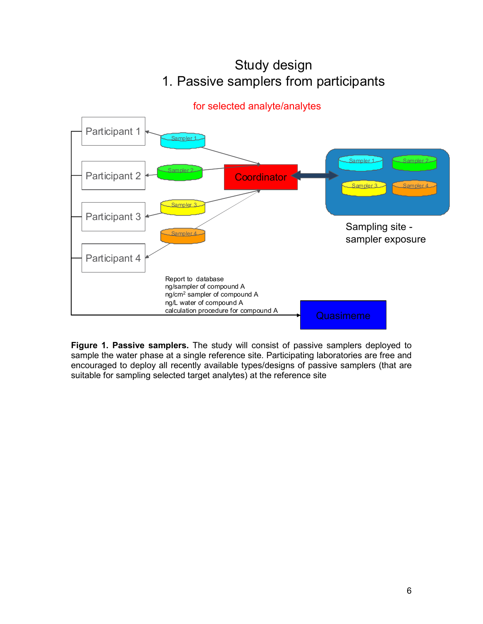

Study design 1. Passive samplers from participants

**Figure 1. Passive samplers.** The study will consist of passive samplers deployed to sample the water phase at a single reference site. Participating laboratories are free and encouraged to deploy all recently available types/designs of passive samplers (that are suitable for sampling selected target analytes) at the reference site

# for selected analyte/analytes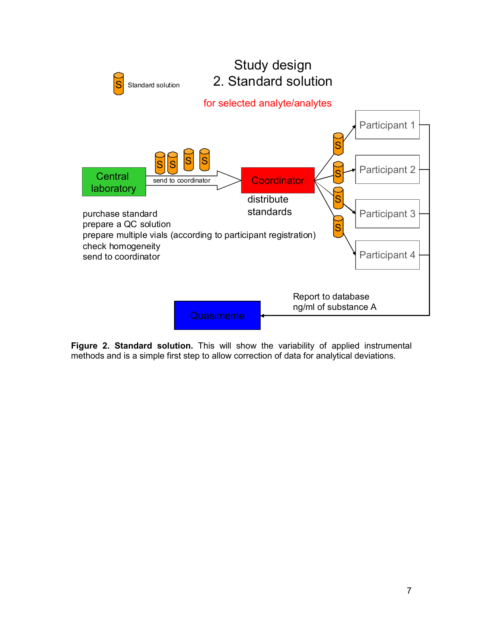

**Figure 2. Standard solution.** This will show the variability of applied instrumental methods and is a simple first step to allow correction of data for analytical deviations.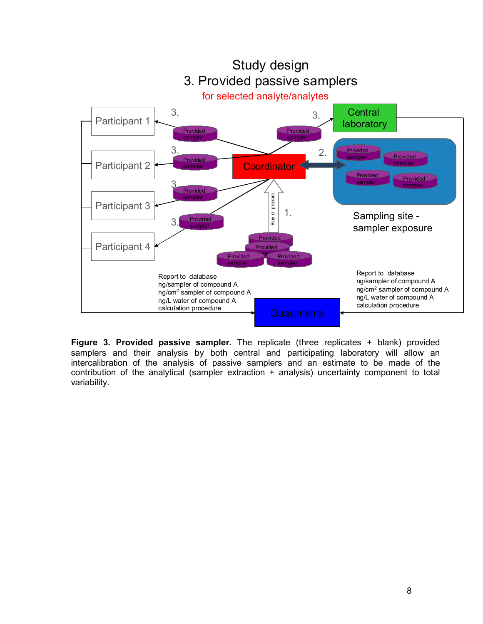

**Figure 3. Provided passive sampler.** The replicate (three replicates + blank) provided samplers and their analysis by both central and participating laboratory will allow an intercalibration of the analysis of passive samplers and an estimate to be made of the contribution of the analytical (sampler extraction + analysis) uncertainty component to total variability.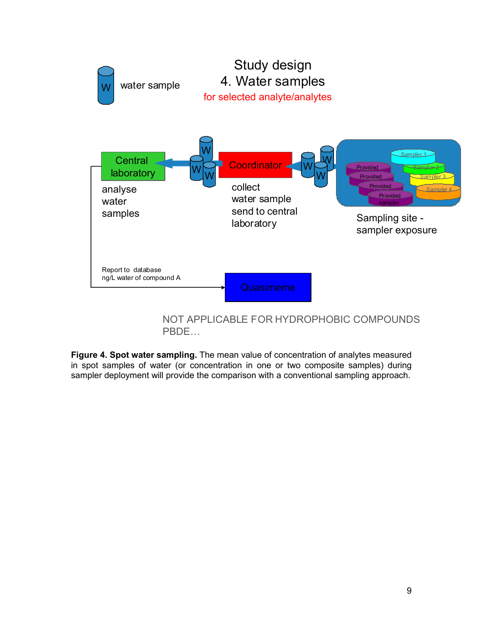

**Figure 4. Spot water sampling.** The mean value of concentration of analytes measured in spot samples of water (or concentration in one or two composite samples) during sampler deployment will provide the comparison with a conventional sampling approach.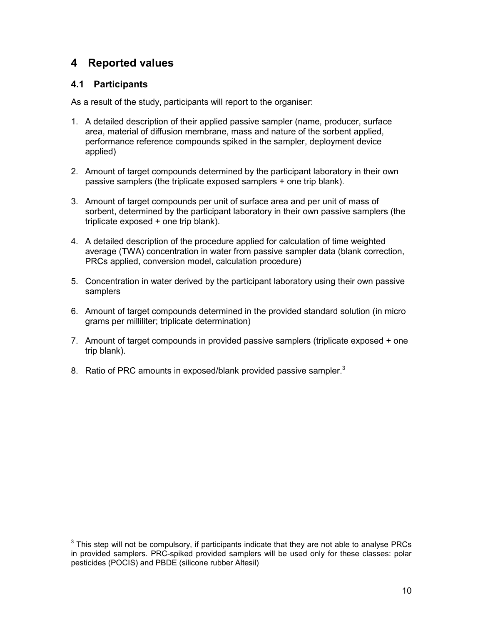# <span id="page-9-0"></span>**4 Reported values**

### **4.1 Participants**

As a result of the study, participants will report to the organiser:

- 1. A detailed description of their applied passive sampler (name, producer, surface area, material of diffusion membrane, mass and nature of the sorbent applied, performance reference compounds spiked in the sampler, deployment device applied)
- 2. Amount of target compounds determined by the participant laboratory in their own passive samplers (the triplicate exposed samplers + one trip blank).
- 3. Amount of target compounds per unit of surface area and per unit of mass of sorbent, determined by the participant laboratory in their own passive samplers (the triplicate exposed + one trip blank).
- 4. A detailed description of the procedure applied for calculation of time weighted average (TWA) concentration in water from passive sampler data (blank correction, PRCs applied, conversion model, calculation procedure)
- 5. Concentration in water derived by the participant laboratory using their own passive samplers
- 6. Amount of target compounds determined in the provided standard solution (in micro grams per milliliter; triplicate determination)
- 7. Amount of target compounds in provided passive samplers (triplicate exposed + one trip blank).
- 8. Ratio of PRC amounts in exposed/blank provided passive sampler.<sup>3</sup>

**EXECUTE:**<br><sup>3</sup> This step will not be compulsory, if participants indicate that they are not able to analyse PRCs in provided samplers. PRC-spiked provided samplers will be used only for these classes: polar pesticides (POCIS) and PBDE (silicone rubber Altesil)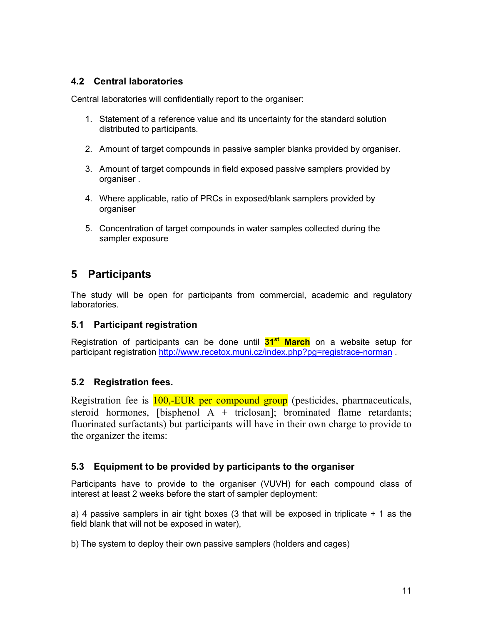### <span id="page-10-0"></span>**4.2 Central laboratories**

Central laboratories will confidentially report to the organiser:

- 1. Statement of a reference value and its uncertainty for the standard solution distributed to participants.
- 2. Amount of target compounds in passive sampler blanks provided by organiser.
- 3. Amount of target compounds in field exposed passive samplers provided by organiser .
- 4. Where applicable, ratio of PRCs in exposed/blank samplers provided by organiser
- 5. Concentration of target compounds in water samples collected during the sampler exposure

# **5 Participants**

The study will be open for participants from commercial, academic and regulatory laboratories.

#### **5.1 Participant registration**

Registration of participants can be done until **31st March** on a website setup for participant registration<http://www.recetox.muni.cz/index.php?pg=registrace-norman>.

### **5.2 Registration fees.**

Registration fee is **100,-EUR per compound group** (pesticides, pharmaceuticals, steroid hormones, [bisphenol  $\overline{A}$  + triclosan]; brominated flame retardants; fluorinated surfactants) but participants will have in their own charge to provide to the organizer the items:

#### **5.3 Equipment to be provided by participants to the organiser**

Participants have to provide to the organiser (VUVH) for each compound class of interest at least 2 weeks before the start of sampler deployment:

a) 4 passive samplers in air tight boxes (3 that will be exposed in triplicate  $+$  1 as the field blank that will not be exposed in water),

b) The system to deploy their own passive samplers (holders and cages)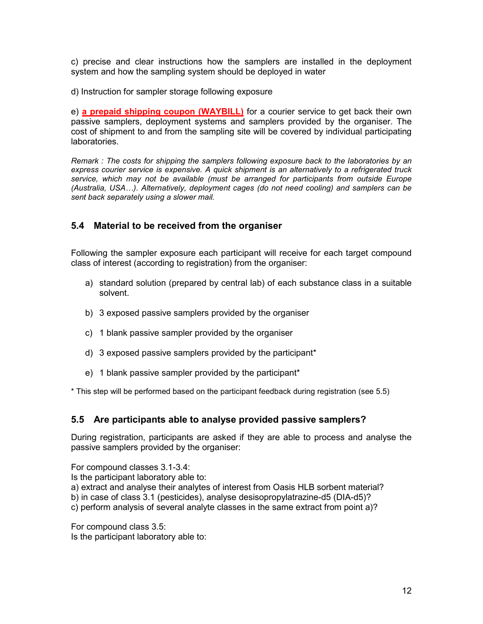<span id="page-11-0"></span>c) precise and clear instructions how the samplers are installed in the deployment system and how the sampling system should be deployed in water

d) Instruction for sampler storage following exposure

e) **a prepaid shipping coupon (WAYBILL)** for a courier service to get back their own passive samplers, deployment systems and samplers provided by the organiser. The cost of shipment to and from the sampling site will be covered by individual participating laboratories.

*Remark : The costs for shipping the samplers following exposure back to the laboratories by an express courier service is expensive. A quick shipment is an alternatively to a refrigerated truck*  service, which may not be available (must be arranged for participants from outside Europe *(Australia, USA…). Alternatively, deployment cages (do not need cooling) and samplers can be sent back separately using a slower mail.* 

#### **5.4 Material to be received from the organiser**

Following the sampler exposure each participant will receive for each target compound class of interest (according to registration) from the organiser:

- a) standard solution (prepared by central lab) of each substance class in a suitable solvent.
- b) 3 exposed passive samplers provided by the organiser
- c) 1 blank passive sampler provided by the organiser
- d) 3 exposed passive samplers provided by the participant\*
- e) 1 blank passive sampler provided by the participant\*

\* This step will be performed based on the participant feedback during registration (see 5.5)

#### **5.5 Are participants able to analyse provided passive samplers?**

During registration, participants are asked if they are able to process and analyse the passive samplers provided by the organiser:

For compound classes [3.1-3.4:](#page-4-0)

Is the participant laboratory able to:

a) extract and analyse their analytes of interest from Oasis HLB sorbent material?

b) in case of class [3.1](#page-4-0) (pesticides), analyse desisopropylatrazine-d5 (DIA-d5)?

c) perform analysis of several analyte classes in the same extract from point a)?

For compound class [3.5:](#page-4-0) Is the participant laboratory able to: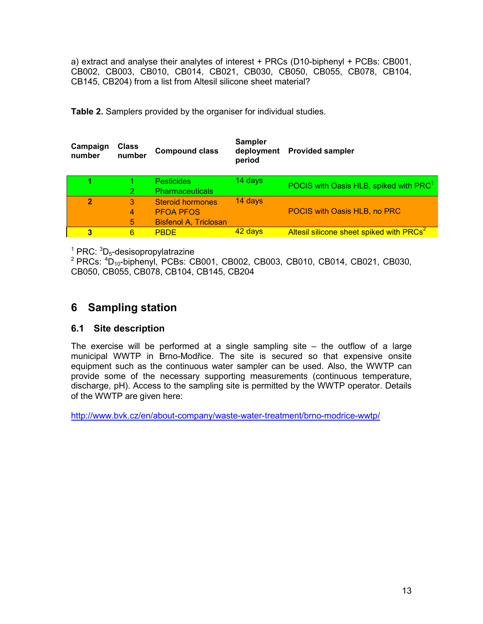<span id="page-12-0"></span>a) extract and analyse their analytes of interest + PRCs (D10-biphenyl + PCBs: CB001, CB002, CB003, CB010, CB014, CB021, CB030, CB050, CB055, CB078, CB104, CB145, CB204) from a list from Altesil silicone sheet material?

| Campaign<br>number | Class<br>number | <b>Compound class</b>        | Sampler<br>deployment<br>period | <b>Provided sampler</b>                              |
|--------------------|-----------------|------------------------------|---------------------------------|------------------------------------------------------|
|                    |                 | <b>Pesticides</b>            | 14 days                         | POCIS with Oasis HLB, spiked with PRC <sup>1</sup>   |
|                    |                 | <b>Pharmaceuticals</b>       |                                 |                                                      |
| $\overline{2}$     | 3               | <b>Steroid hormones</b>      | 14 days                         |                                                      |
|                    | 4               | <b>PFOA PFOS</b>             |                                 | POCIS with Oasis HLB, no PRC                         |
|                    | 5               | <b>Bisfenol A, Triclosan</b> |                                 |                                                      |
| 3                  | 6               | <b>PBDE</b>                  | 42 days                         | Altesil silicone sheet spiked with PRCs <sup>2</sup> |
|                    |                 |                              |                                 |                                                      |

 $1$  PRC:  ${}^{3}D_{5}$ -desisopropylatrazine

 $^{2}$  PRCs:  $^{4}$ D<sub>10</sub>-biphenyl, PCBs: CB001, CB002, CB003, CB010, CB014, CB021, CB030, CB050, CB055, CB078, CB104, CB145, CB204

# **6 Sampling station**

#### **6.1 Site description**

The exercise will be performed at a single sampling site – the outflow of a large municipal WWTP in Brno-Modřice. The site is secured so that expensive onsite equipment such as the continuous water sampler can be used. Also, the WWTP can provide some of the necessary supporting measurements (continuous temperature, discharge, pH). Access to the sampling site is permitted by the WWTP operator. Details of the WWTP are given here:

<http://www.bvk.cz/en/about-company/waste-water-treatment/brno-modrice-wwtp/>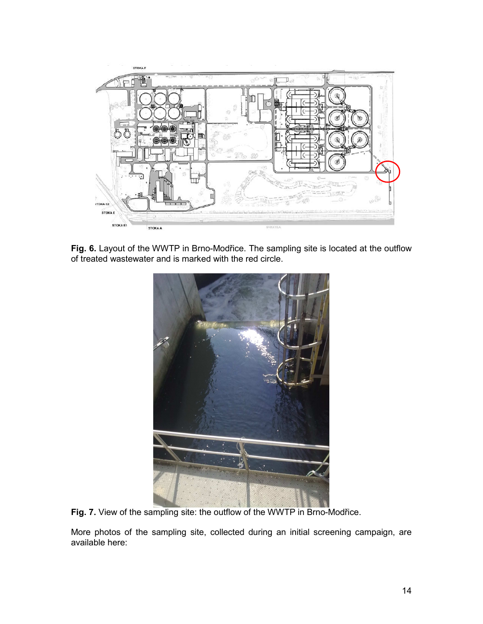

**Fig. 6.** Layout of the WWTP in Brno-Modřice. The sampling site is located at the outflow of treated wastewater and is marked with the red circle.



**Fig. 7.** View of the sampling site: the outflow of the WWTP in Brno-Modřice.

More photos of the sampling site, collected during an initial screening campaign, are available here: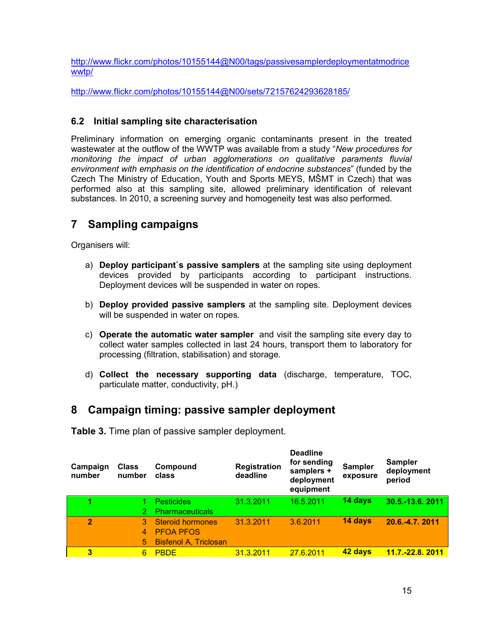<span id="page-14-0"></span>[http://www.flickr.com/photos/10155144@N00/tags/passivesamplerdeploymentatmodrice](http://www.flickr.com/photos/10155144@N00/tags/passivesamplerdeploymentatmodricewwtp/) [wwtp/](http://www.flickr.com/photos/10155144@N00/tags/passivesamplerdeploymentatmodricewwtp/)

<http://www.flickr.com/photos/10155144@N00/sets/72157624293628185/>

### **6.2 Initial sampling site characterisation**

Preliminary information on emerging organic contaminants present in the treated wastewater at the outflow of the WWTP was available from a study "*New procedures for monitoring the impact of urban agglomerations on qualitative paraments fluvial environment with emphasis on the identification of endocrine substances*" (funded by the Czech The Ministry of Education, Youth and Sports MEYS, MŠMT in Czech) that was performed also at this sampling site, allowed preliminary identification of relevant substances. In 2010, a screening survey and homogeneity test was also performed.

# **7 Sampling campaigns**

Organisers will:

- a) **Deploy participant`s passive samplers** at the sampling site using deployment devices provided by participants according to participant instructions. Deployment devices will be suspended in water on ropes.
- b) **Deploy provided passive samplers** at the sampling site. Deployment devices will be suspended in water on ropes.
- c) **Operate the automatic water sampler** and visit the sampling site every day to collect water samples collected in last 24 hours, transport them to laboratory for processing (filtration, stabilisation) and storage.
- d) **Collect the necessary supporting data** (discharge, temperature, TOC, particulate matter, conductivity, pH.)

# **8 Campaign timing: passive sampler deployment**

**Table 3.** Time plan of passive sampler deployment.

| Campaign<br>number | <b>Class</b><br>number | Compound<br>class            | <b>Registration</b><br>deadline | <b>Deadline</b><br>for sending<br>samplers +<br>deployment<br>equipment | Sampler<br>exposure | <b>Sampler</b><br>deployment<br>period |
|--------------------|------------------------|------------------------------|---------------------------------|-------------------------------------------------------------------------|---------------------|----------------------------------------|
|                    |                        | <b>Pesticides</b>            | 31.3.2011                       | 16.5.2011                                                               | 14 days             | 30.5.-13.6. 2011                       |
|                    |                        | <b>Pharmaceuticals</b>       |                                 |                                                                         |                     |                                        |
| $\overline{2}$     | 3.                     | <b>Steroid hormones</b>      | 31.3.2011                       | 3.6.2011                                                                | 14 days             | 20.6.-4.7.2011                         |
|                    | 4                      | <b>PFOA PFOS</b>             |                                 |                                                                         |                     |                                        |
|                    | 5                      | <b>Bisfenol A, Triclosan</b> |                                 |                                                                         |                     |                                        |
| 3                  | 6                      | <b>PBDE</b>                  | 31.3.2011                       | 27.6.2011                                                               | 42 days             | <u>11.7.-22.8. 2011</u>                |